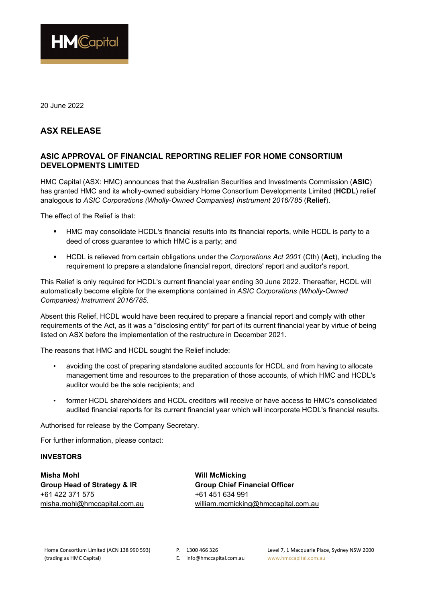

20 June 2022

## **ASX RELEASE**

## **ASIC APPROVAL OF FINANCIAL REPORTING RELIEF FOR HOME CONSORTIUM DEVELOPMENTS LIMITED**

HMC Capital (ASX: HMC) announces that the Australian Securities and Investments Commission (**ASIC**) has granted HMC and its wholly-owned subsidiary Home Consortium Developments Limited (**HCDL**) relief analogous to *ASIC Corporations (Wholly-Owned Companies) Instrument 2016/785* (**Relief**).

The effect of the Relief is that:

- HMC may consolidate HCDL's financial results into its financial reports, while HCDL is party to a deed of cross guarantee to which HMC is a party; and
- HCDL is relieved from certain obligations under the *Corporations Act 2001* (Cth) (**Act**), including the requirement to prepare a standalone financial report, directors' report and auditor's report.

This Relief is only required for HCDL's current financial year ending 30 June 2022. Thereafter, HCDL will automatically become eligible for the exemptions contained in *ASIC Corporations (Wholly-Owned Companies) Instrument 2016/785*.

Absent this Relief, HCDL would have been required to prepare a financial report and comply with other requirements of the Act, as it was a "disclosing entity" for part of its current financial year by virtue of being listed on ASX before the implementation of the restructure in December 2021.

The reasons that HMC and HCDL sought the Relief include:

- avoiding the cost of preparing standalone audited accounts for HCDL and from having to allocate management time and resources to the preparation of those accounts, of which HMC and HCDL's auditor would be the sole recipients; and
- former HCDL shareholders and HCDL creditors will receive or have access to HMC's consolidated audited financial reports for its current financial year which will incorporate HCDL's financial results.

Authorised for release by the Company Secretary.

For further information, please contact:

## **INVESTORS**

**Misha Mohl Will McMicking**  Group Head of Strategy & IR **Group Chief Financial Officer** +61 422 371 575 +61 451 634 991

[misha.mohl@hmccapital.com.au](mailto:misha.mohl@hmccapital.com.au) william.mcmicking@hmccapital.com.au